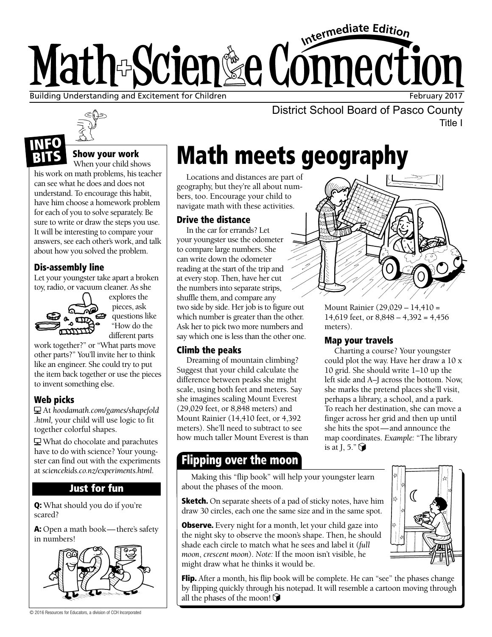# Intermediate Edition Math-Scien&e Connection Building Understanding and Excitement for Children February 2017 and Excitement for Children February 2017

Title I



### Show your work

When your child shows his work on math problems, his teacher can see what he does and does not understand. To encourage this habit, have him choose a homework problem for each of you to solve separately. Be sure to write or draw the steps you use. It will be interesting to compare your answers, see each other's work, and talk about how you solved the problem.

### Dis-assembly line

BITS

Let your youngster take apart a broken toy, radio, or vacuum cleaner. As she



explores the pieces, ask questions like "How do the different parts

work together?" or "What parts move other parts?" You'll invite her to think like an engineer. She could try to put the item back together or use the pieces to invent something else.

### Web picks

At *hoodamath.com/games/shapefold .html,* your child will use logic to fit together colorful shapes.

What do chocolate and parachutes have to do with science? Your youngster can find out with the experiments at *sciencekids.co.nz/experiments.html.*

### Just for fun

Q: What should you do if you're scared?

A: Open a math book—there's safety in numbers!



© 2016 Resources for Educators, a division of CCH Incorporated

# $\frac{M_{\rm H}}{M_{\rm H}}$  Show your work **Math meets geography**

Locations and distances are part of geography, but they're all about numbers, too. Encourage your child to navigate math with these activities.

### Drive the distance

In the car for errands? Let your youngster use the odometer to compare large numbers. She can write down the odometer reading at the start of the trip and at every stop. Then, have her cut the numbers into separate strips, shuffle them, and compare any two side by side. Her job is to figure out which number is greater than the other. Ask her to pick two more numbers and say which one is less than the other one.

### Climb the peaks

Dreaming of mountain climbing? Suggest that your child calculate the difference between peaks she might scale, using both feet and meters. Say she imagines scaling Mount Everest (29,029 feet, or 8,848 meters) and Mount Rainier (14,410 feet, or 4,392 meters). She'll need to subtract to see how much taller Mount Everest is than

# Flipping over the moon

Making this "flip book" will help your youngster learn about the phases of the moon.

**Sketch.** On separate sheets of a pad of sticky notes, have him draw 30 circles, each one the same size and in the same spot.

**Observe.** Every night for a month, let your child gaze into the night sky to observe the moon's shape. Then, he should shade each circle to match what he sees and label it (*full moon*, *crescent moon*). *Note:* If the moon isn't visible, he might draw what he thinks it would be.



**Flip.** After a month, his flip book will be complete. He can "see" the phases change by flipping quickly through his notepad. It will resemble a cartoon moving through all the phases of the moon!  $\bigcirc$ 



District School Board of Pasco County

Mount Rainier (29,029 – 14,410 = 14,619 feet, or  $8,848 - 4,392 = 4,456$ meters).

### Map your travels

Charting a course? Your youngster could plot the way. Have her draw a 10 x 10 grid. She should write 1–10 up the left side and A–J across the bottom. Now, she marks the pretend places she'll visit, perhaps a library, a school, and a park. To reach her destination, she can move a finger across her grid and then up until she hits the spot—and announce the map coordinates. *Example:* "The library is at J, 5." $\bigcirc$